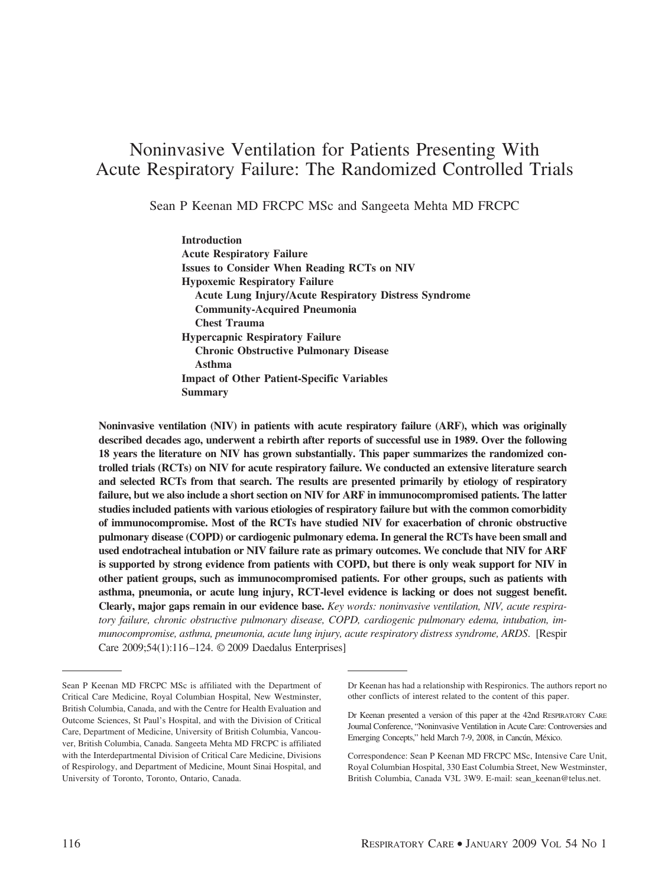# Noninvasive Ventilation for Patients Presenting With Acute Respiratory Failure: The Randomized Controlled Trials

Sean P Keenan MD FRCPC MSc and Sangeeta Mehta MD FRCPC

**Introduction Acute Respiratory Failure Issues to Consider When Reading RCTs on NIV Hypoxemic Respiratory Failure Acute Lung Injury/Acute Respiratory Distress Syndrome Community-Acquired Pneumonia Chest Trauma Hypercapnic Respiratory Failure Chronic Obstructive Pulmonary Disease Asthma Impact of Other Patient-Specific Variables Summary**

**Noninvasive ventilation (NIV) in patients with acute respiratory failure (ARF), which was originally described decades ago, underwent a rebirth after reports of successful use in 1989. Over the following 18 years the literature on NIV has grown substantially. This paper summarizes the randomized controlled trials (RCTs) on NIV for acute respiratory failure. We conducted an extensive literature search and selected RCTs from that search. The results are presented primarily by etiology of respiratory failure, but we also include a short section on NIV for ARF in immunocompromised patients. The latter studies included patients with various etiologies of respiratory failure but with the common comorbidity of immunocompromise. Most of the RCTs have studied NIV for exacerbation of chronic obstructive pulmonary disease (COPD) or cardiogenic pulmonary edema. In general the RCTs have been small and used endotracheal intubation or NIV failure rate as primary outcomes. We conclude that NIV for ARF is supported by strong evidence from patients with COPD, but there is only weak support for NIV in other patient groups, such as immunocompromised patients. For other groups, such as patients with asthma, pneumonia, or acute lung injury, RCT-level evidence is lacking or does not suggest benefit. Clearly, major gaps remain in our evidence base.** *Key words: noninvasive ventilation, NIV, acute respiratory failure, chronic obstructive pulmonary disease, COPD, cardiogenic pulmonary edema, intubation, immunocompromise, asthma, pneumonia, acute lung injury, acute respiratory distress syndrome, ARDS*. [Respir Care 2009;54(1):116 –124. © 2009 Daedalus Enterprises]

Sean P Keenan MD FRCPC MSc is affiliated with the Department of Critical Care Medicine, Royal Columbian Hospital, New Westminster, British Columbia, Canada, and with the Centre for Health Evaluation and Outcome Sciences, St Paul's Hospital, and with the Division of Critical Care, Department of Medicine, University of British Columbia, Vancouver, British Columbia, Canada. Sangeeta Mehta MD FRCPC is affiliated with the Interdepartmental Division of Critical Care Medicine, Divisions of Respirology, and Department of Medicine, Mount Sinai Hospital, and University of Toronto, Toronto, Ontario, Canada.

Dr Keenan has had a relationship with Respironics. The authors report no other conflicts of interest related to the content of this paper.

Dr Keenan presented a version of this paper at the 42nd RESPIRATORY CARE Journal Conference, "Noninvasive Ventilation in Acute Care: Controversies and Emerging Concepts," held March 7-9, 2008, in Cancún, México.

Correspondence: Sean P Keenan MD FRCPC MSc, Intensive Care Unit, Royal Columbian Hospital, 330 East Columbia Street, New Westminster, British Columbia, Canada V3L 3W9. E-mail: sean\_keenan@telus.net.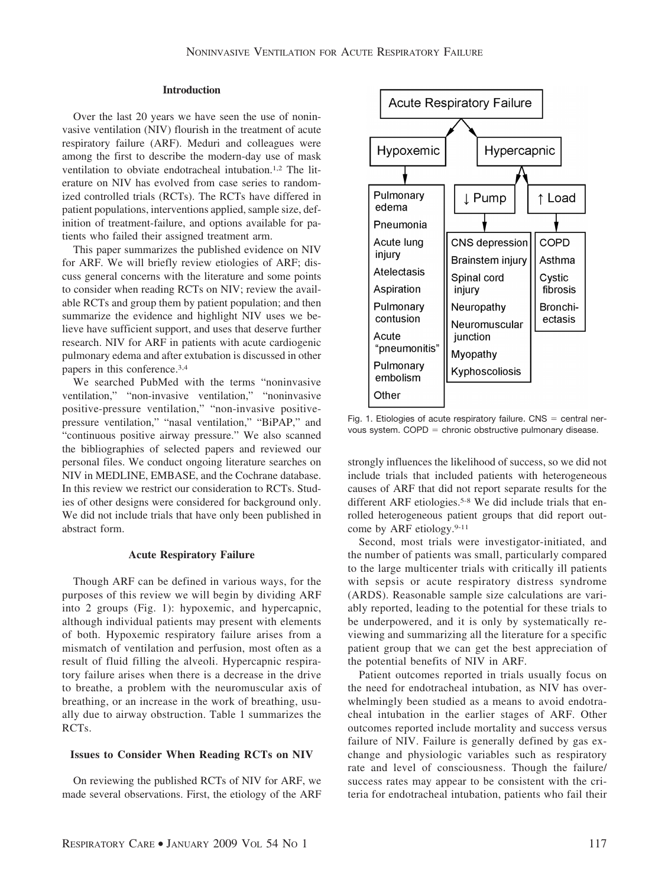# **Introduction**

Over the last 20 years we have seen the use of noninvasive ventilation (NIV) flourish in the treatment of acute respiratory failure (ARF). Meduri and colleagues were among the first to describe the modern-day use of mask ventilation to obviate endotracheal intubation.<sup>1,2</sup> The literature on NIV has evolved from case series to randomized controlled trials (RCTs). The RCTs have differed in patient populations, interventions applied, sample size, definition of treatment-failure, and options available for patients who failed their assigned treatment arm.

This paper summarizes the published evidence on NIV for ARF. We will briefly review etiologies of ARF; discuss general concerns with the literature and some points to consider when reading RCTs on NIV; review the available RCTs and group them by patient population; and then summarize the evidence and highlight NIV uses we believe have sufficient support, and uses that deserve further research. NIV for ARF in patients with acute cardiogenic pulmonary edema and after extubation is discussed in other papers in this conference.3,4

We searched PubMed with the terms "noninvasive ventilation," "non-invasive ventilation," "noninvasive positive-pressure ventilation," "non-invasive positivepressure ventilation," "nasal ventilation," "BiPAP," and "continuous positive airway pressure." We also scanned the bibliographies of selected papers and reviewed our personal files. We conduct ongoing literature searches on NIV in MEDLINE, EMBASE, and the Cochrane database. In this review we restrict our consideration to RCTs. Studies of other designs were considered for background only. We did not include trials that have only been published in abstract form.

### **Acute Respiratory Failure**

Though ARF can be defined in various ways, for the purposes of this review we will begin by dividing ARF into 2 groups (Fig. 1): hypoxemic, and hypercapnic, although individual patients may present with elements of both. Hypoxemic respiratory failure arises from a mismatch of ventilation and perfusion, most often as a result of fluid filling the alveoli. Hypercapnic respiratory failure arises when there is a decrease in the drive to breathe, a problem with the neuromuscular axis of breathing, or an increase in the work of breathing, usually due to airway obstruction. Table 1 summarizes the RCTs.

## **Issues to Consider When Reading RCTs on NIV**

On reviewing the published RCTs of NIV for ARF, we made several observations. First, the etiology of the ARF



Fig. 1. Etiologies of acute respiratory failure.  $CNS =$  central nervous system.  $COPD =$  chronic obstructive pulmonary disease.

strongly influences the likelihood of success, so we did not include trials that included patients with heterogeneous causes of ARF that did not report separate results for the different ARF etiologies.<sup>5-8</sup> We did include trials that enrolled heterogeneous patient groups that did report outcome by ARF etiology.9-11

Second, most trials were investigator-initiated, and the number of patients was small, particularly compared to the large multicenter trials with critically ill patients with sepsis or acute respiratory distress syndrome (ARDS). Reasonable sample size calculations are variably reported, leading to the potential for these trials to be underpowered, and it is only by systematically reviewing and summarizing all the literature for a specific patient group that we can get the best appreciation of the potential benefits of NIV in ARF.

Patient outcomes reported in trials usually focus on the need for endotracheal intubation, as NIV has overwhelmingly been studied as a means to avoid endotracheal intubation in the earlier stages of ARF. Other outcomes reported include mortality and success versus failure of NIV. Failure is generally defined by gas exchange and physiologic variables such as respiratory rate and level of consciousness. Though the failure/ success rates may appear to be consistent with the criteria for endotracheal intubation, patients who fail their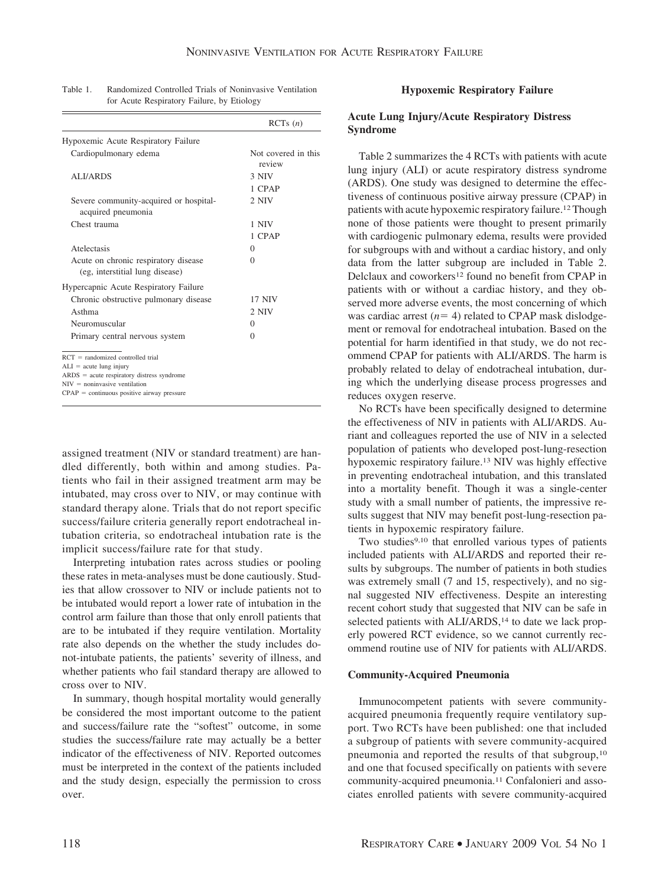|                                                                                                                                                                                                     | RCTs(n)                       |
|-----------------------------------------------------------------------------------------------------------------------------------------------------------------------------------------------------|-------------------------------|
| Hypoxemic Acute Respiratory Failure                                                                                                                                                                 |                               |
| Cardiopulmonary edema                                                                                                                                                                               | Not covered in this<br>review |
| <b>ALI/ARDS</b>                                                                                                                                                                                     | 3 NIV                         |
|                                                                                                                                                                                                     | 1 CPAP                        |
| Severe community-acquired or hospital-<br>acquired pneumonia                                                                                                                                        | 2 NIV                         |
| Chest trauma                                                                                                                                                                                        | 1 NIV                         |
|                                                                                                                                                                                                     | 1 CPAP                        |
| Atelectasis                                                                                                                                                                                         | $\Omega$                      |
| Acute on chronic respiratory disease<br>(eg, interstitial lung disease)                                                                                                                             | $\Omega$                      |
| Hypercapnic Acute Respiratory Failure                                                                                                                                                               |                               |
| Chronic obstructive pulmonary disease                                                                                                                                                               | <b>17 NIV</b>                 |
| Asthma                                                                                                                                                                                              | $2$ NIV                       |
| Neuromuscular                                                                                                                                                                                       | $\Omega$                      |
| Primary central nervous system                                                                                                                                                                      | $\Omega$                      |
| $RCT = randomized controlled trial$<br>$ALI = acute lung injury$<br>$ARDS = acute$ respiratory distress syndrome<br>$NIV = noninvasive ventilation$<br>$CPAP =$ continuous positive airway pressure |                               |

| Table 1. | Randomized Controlled Trials of Noninvasive Ventilation |
|----------|---------------------------------------------------------|
|          | for Acute Respiratory Failure, by Etiology              |

assigned treatment (NIV or standard treatment) are handled differently, both within and among studies. Patients who fail in their assigned treatment arm may be intubated, may cross over to NIV, or may continue with standard therapy alone. Trials that do not report specific success/failure criteria generally report endotracheal intubation criteria, so endotracheal intubation rate is the implicit success/failure rate for that study.

Interpreting intubation rates across studies or pooling these rates in meta-analyses must be done cautiously. Studies that allow crossover to NIV or include patients not to be intubated would report a lower rate of intubation in the control arm failure than those that only enroll patients that are to be intubated if they require ventilation. Mortality rate also depends on the whether the study includes donot-intubate patients, the patients' severity of illness, and whether patients who fail standard therapy are allowed to cross over to NIV.

In summary, though hospital mortality would generally be considered the most important outcome to the patient and success/failure rate the "softest" outcome, in some studies the success/failure rate may actually be a better indicator of the effectiveness of NIV. Reported outcomes must be interpreted in the context of the patients included and the study design, especially the permission to cross over.

## **Hypoxemic Respiratory Failure**

## **Acute Lung Injury/Acute Respiratory Distress Syndrome**

Table 2 summarizes the 4 RCTs with patients with acute lung injury (ALI) or acute respiratory distress syndrome (ARDS). One study was designed to determine the effectiveness of continuous positive airway pressure (CPAP) in patients with acute hypoxemic respiratory failure.12Though none of those patients were thought to present primarily with cardiogenic pulmonary edema, results were provided for subgroups with and without a cardiac history, and only data from the latter subgroup are included in Table 2. Delclaux and coworkers<sup>12</sup> found no benefit from CPAP in patients with or without a cardiac history, and they observed more adverse events, the most concerning of which was cardiac arrest  $(n=4)$  related to CPAP mask dislodgement or removal for endotracheal intubation. Based on the potential for harm identified in that study, we do not recommend CPAP for patients with ALI/ARDS. The harm is probably related to delay of endotracheal intubation, during which the underlying disease process progresses and reduces oxygen reserve.

No RCTs have been specifically designed to determine the effectiveness of NIV in patients with ALI/ARDS. Auriant and colleagues reported the use of NIV in a selected population of patients who developed post-lung-resection hypoxemic respiratory failure.13 NIV was highly effective in preventing endotracheal intubation, and this translated into a mortality benefit. Though it was a single-center study with a small number of patients, the impressive results suggest that NIV may benefit post-lung-resection patients in hypoxemic respiratory failure.

Two studies<sup>9,10</sup> that enrolled various types of patients included patients with ALI/ARDS and reported their results by subgroups. The number of patients in both studies was extremely small (7 and 15, respectively), and no signal suggested NIV effectiveness. Despite an interesting recent cohort study that suggested that NIV can be safe in selected patients with ALI/ARDS,<sup>14</sup> to date we lack properly powered RCT evidence, so we cannot currently recommend routine use of NIV for patients with ALI/ARDS.

## **Community-Acquired Pneumonia**

Immunocompetent patients with severe communityacquired pneumonia frequently require ventilatory support. Two RCTs have been published: one that included a subgroup of patients with severe community-acquired pneumonia and reported the results of that subgroup,10 and one that focused specifically on patients with severe community-acquired pneumonia.11 Confalonieri and associates enrolled patients with severe community-acquired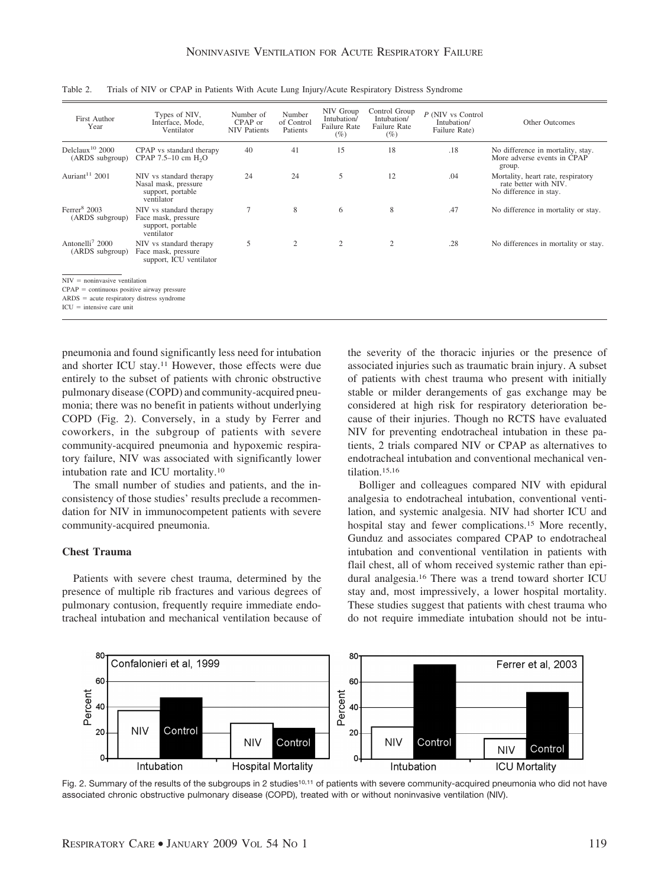| First Author<br>Year                           | Types of NIV,<br>Interface, Mode.<br>Ventilator                                    | Number of<br>CPAP or<br><b>NIV Patients</b> | Number<br>of Control<br>Patients | NIV Group<br>Intubation/<br>Failure Rate<br>$(\%)$ | Control Group<br>Intubation/<br><b>Failure Rate</b><br>$(\%)$ | P (NIV vs Control)<br>Intubation/<br>Failure Rate) | Other Outcomes                                                                        |
|------------------------------------------------|------------------------------------------------------------------------------------|---------------------------------------------|----------------------------------|----------------------------------------------------|---------------------------------------------------------------|----------------------------------------------------|---------------------------------------------------------------------------------------|
| Delclaux <sup>10</sup> 2000<br>(ARDS subgroup) | CPAP vs standard therapy<br>CPAP 7.5-10 cm H <sub>2</sub> O                        | 40                                          | 41                               | 15                                                 | 18                                                            | .18                                                | No difference in mortality, stay.<br>More adverse events in CPAP<br>group.            |
| Auriant <sup>11</sup> 2001                     | NIV vs standard therapy<br>Nasal mask, pressure<br>support, portable<br>ventilator | 24                                          | 24                               | 5                                                  | 12                                                            | .04                                                | Mortality, heart rate, respiratory<br>rate better with NIV.<br>No difference in stay. |
| Ferrer $82003$<br>(ARDS subgroup)              | NIV vs standard therapy<br>Face mask, pressure<br>support, portable<br>ventilator  | $\overline{7}$                              | 8                                | 6                                                  | 8                                                             | .47                                                | No difference in mortality or stay.                                                   |
| Antonelli <sup>7</sup> 2000<br>(ARDS subgroup) | NIV vs standard therapy<br>Face mask, pressure<br>support, ICU ventilator          | 5                                           | 2                                | $\overline{c}$                                     | $\overline{2}$                                                | .28                                                | No differences in mortality or stay.                                                  |

Table 2. Trials of NIV or CPAP in Patients With Acute Lung Injury/Acute Respiratory Distress Syndrome

 $ARDS = acute$  respiratory distress syndrome

 $ICU =$  intensive care unit

pneumonia and found significantly less need for intubation and shorter ICU stay.11 However, those effects were due entirely to the subset of patients with chronic obstructive pulmonary disease (COPD) and community-acquired pneumonia; there was no benefit in patients without underlying COPD (Fig. 2). Conversely, in a study by Ferrer and coworkers, in the subgroup of patients with severe community-acquired pneumonia and hypoxemic respiratory failure, NIV was associated with significantly lower intubation rate and ICU mortality.10

The small number of studies and patients, and the inconsistency of those studies' results preclude a recommendation for NIV in immunocompetent patients with severe community-acquired pneumonia.

## **Chest Trauma**

Patients with severe chest trauma, determined by the presence of multiple rib fractures and various degrees of pulmonary contusion, frequently require immediate endotracheal intubation and mechanical ventilation because of the severity of the thoracic injuries or the presence of associated injuries such as traumatic brain injury. A subset of patients with chest trauma who present with initially stable or milder derangements of gas exchange may be considered at high risk for respiratory deterioration because of their injuries. Though no RCTS have evaluated NIV for preventing endotracheal intubation in these patients, 2 trials compared NIV or CPAP as alternatives to endotracheal intubation and conventional mechanical ventilation.15,16

Bolliger and colleagues compared NIV with epidural analgesia to endotracheal intubation, conventional ventilation, and systemic analgesia. NIV had shorter ICU and hospital stay and fewer complications.15 More recently, Gunduz and associates compared CPAP to endotracheal intubation and conventional ventilation in patients with flail chest, all of whom received systemic rather than epidural analgesia.16 There was a trend toward shorter ICU stay and, most impressively, a lower hospital mortality. These studies suggest that patients with chest trauma who do not require immediate intubation should not be intu-



Fig. 2. Summary of the results of the subgroups in 2 studies<sup>10,11</sup> of patients with severe community-acquired pneumonia who did not have associated chronic obstructive pulmonary disease (COPD), treated with or without noninvasive ventilation (NIV).

 $CPAP =$  continuous positive airway pressure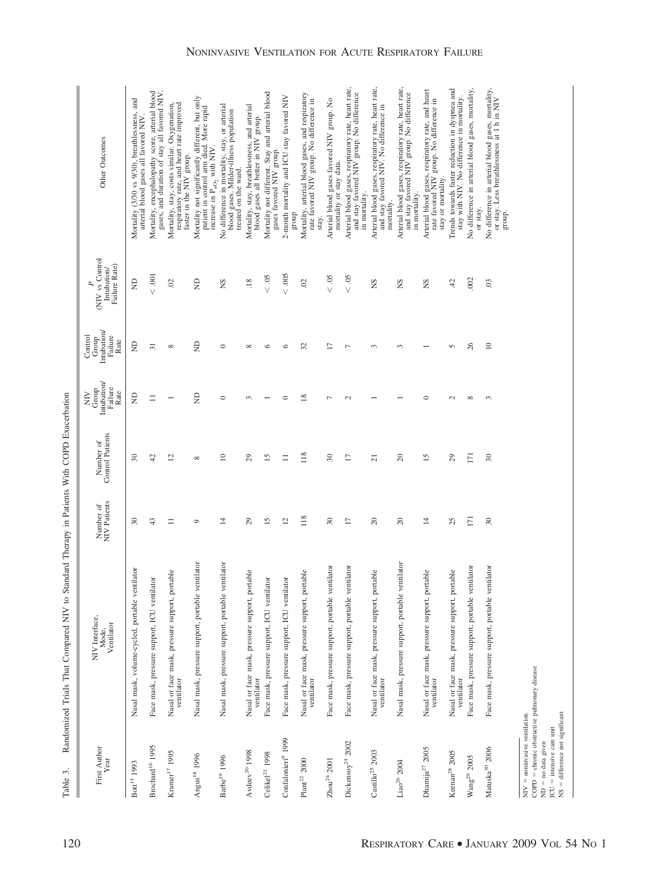Randomized Trials That Compared NIV to Standard Therapy in Patients With COPD Exacerbation Table 3. Randomized Trials That Compared NIV to Standard Therapy in Patients With COPD Exacerbation Table 3.

| Other Outcomes                                        | Mortality (3/30 vs 9/30), breathlessness, and<br>arterial blood gases all favored NIV | Mortality, encephalopathy score, arterial blood<br>gases, and duration of stay all favored NIV | Mortality, stay, costs similar. Oxygenation,<br>respiratory rate, and heart rate improved<br>faster in the NIV group. | Mortality not significantly different, but only<br>patient in control arm died. More rapid<br>increase in $P_{aO_2}$ with NIV. | No difference in mortality, stay, or arterial<br>blood gases. Milder-illness population<br>treated on the ward. | Mortality, stay, breathlessness, and arterial<br>blood gases all better in NIV group. | Mortality not different. Stay and arterial blood<br>gases favored NIV group. | 2-month mortality and ICU stay favored NIV<br>dno.18 | Mortality, arterial blood gases, and respiratory<br>rate favored NIV group. No difference in<br>stay. | Arterial blood gases favored NIV group. No<br>mortality or stay data. | Arterial blood gases, respiratory rate, heart rate,<br>and stay favored NIV group. No difference<br>in mortality. | Arterial blood gases, respiratory rate, heart rate,<br>and stay favored NIV. No difference in<br>mortality. | Arterial blood gases, respiratory rate, heart rate,<br>and stay favored NIV group. No difference<br>in mortality. | Arterial blood gases, respiratory rate, and heart<br>rate favored NIV group. No difference in<br>stay or mortality. | Trends towards faster reduction in dyspnea and<br>stay with NIV. No difference in mortality. | No difference in arterial blood gases, mortality<br>or stay. | No difference in arterial blood gases, mortality,<br>or stay. Less breathlessness at 1 h in NIV<br>group. |                                                                                                                                                                             |
|-------------------------------------------------------|---------------------------------------------------------------------------------------|------------------------------------------------------------------------------------------------|-----------------------------------------------------------------------------------------------------------------------|--------------------------------------------------------------------------------------------------------------------------------|-----------------------------------------------------------------------------------------------------------------|---------------------------------------------------------------------------------------|------------------------------------------------------------------------------|------------------------------------------------------|-------------------------------------------------------------------------------------------------------|-----------------------------------------------------------------------|-------------------------------------------------------------------------------------------------------------------|-------------------------------------------------------------------------------------------------------------|-------------------------------------------------------------------------------------------------------------------|---------------------------------------------------------------------------------------------------------------------|----------------------------------------------------------------------------------------------|--------------------------------------------------------------|-----------------------------------------------------------------------------------------------------------|-----------------------------------------------------------------------------------------------------------------------------------------------------------------------------|
| (NIV vs Control<br>Failure Rate)<br>Intubation        | $\Xi$                                                                                 | $< .001$                                                                                       | $\widetilde{\omega}$                                                                                                  | $\Xi$                                                                                                                          | SN                                                                                                              | .18                                                                                   | $< .05$                                                                      | $< .005$                                             | $\mathcal{S}$                                                                                         | 50<br>$\vee$                                                          | $< .05$                                                                                                           | SN                                                                                                          | SN                                                                                                                | SN                                                                                                                  | 42                                                                                           | .002                                                         | $\ddot{\circ}$                                                                                            |                                                                                                                                                                             |
| Intubation/<br>Failure<br>Control<br>Group<br>Rate    | £                                                                                     | $\overline{31}$                                                                                | $\infty$                                                                                                              | $\Xi$                                                                                                                          | $\circ$                                                                                                         | $\infty$                                                                              | $\circ$                                                                      | ∘                                                    | 32                                                                                                    | Ξ                                                                     | Γ                                                                                                                 | $\infty$                                                                                                    | $\sim$                                                                                                            |                                                                                                                     | 5                                                                                            | $\delta$                                                     | $\supseteq$                                                                                               |                                                                                                                                                                             |
| Intubation/<br>Failure<br>$\lim_{\text{GCD}}$<br>Rate | £                                                                                     | $\equiv$                                                                                       |                                                                                                                       | $\Xi$                                                                                                                          | $\circ$                                                                                                         | 3                                                                                     |                                                                              | 0                                                    | $\frac{8}{2}$                                                                                         | ┍                                                                     | $\mathcal{L}$                                                                                                     |                                                                                                             |                                                                                                                   | 0                                                                                                                   | $\sim$                                                                                       | $\infty$                                                     | 3                                                                                                         |                                                                                                                                                                             |
| Control Patients<br>Number of                         | $\overline{\mathrm{30}}$                                                              | $\ddot{c}$                                                                                     | $\overline{c}$                                                                                                        | ${}^{\circ}$                                                                                                                   | $\overline{a}$                                                                                                  | 29                                                                                    | 15                                                                           | $\equiv$                                             | 118                                                                                                   | 30                                                                    | $\overline{17}$                                                                                                   | $\overline{a}$                                                                                              | $\Omega$                                                                                                          | $\overline{15}$                                                                                                     | $^{29}$                                                                                      | 171                                                          | $\boldsymbol{30}$                                                                                         |                                                                                                                                                                             |
| Number of<br>NIV Patients                             | $\overline{30}$                                                                       | 43                                                                                             | $\equiv$                                                                                                              | $\circ$                                                                                                                        | $\overline{4}$                                                                                                  | 29                                                                                    | 15                                                                           | $\overline{c}$                                       | 118                                                                                                   | $30\,$                                                                | $\overline{17}$                                                                                                   | 20                                                                                                          | 20                                                                                                                | $\overline{4}$                                                                                                      | 25                                                                                           | 171                                                          | $30\,$                                                                                                    |                                                                                                                                                                             |
| NIV Interface,<br>Ventilator<br>Mode,                 | Nasal mask, volume-cycled, portable ventilator                                        | Face mask, pressure support, ICU ventilator                                                    | Nasal or face mask, pressure support, portable<br>ventilator                                                          | Nasal mask, pressure support, portable ventilator                                                                              | Nasal mask, pressure support, portable ventilator                                                               | Nasal or face mask, pressure support, portable<br>ventilator                          | Face mask, pressure support, ICU ventilator                                  | Face mask, pressure support, ICU ventilator          | Nasal or face mask, pressure support, portable<br>ventilator                                          | Face mask, pressure support, portable ventilator                      | lator<br>Face mask, pressure support, portable ventil                                                             | Nasal or face mask, pressure support, portable<br>ventilator                                                | Nasal mask, pressure support, portable ventilator                                                                 | Nasal or face mask, pressure support, portable<br>ventilator                                                        | Nasal or face mask, pressure support, portable<br>ventilator                                 | Face mask, pressure support, portable ventilator             | Face mask, pressure support, portable ventilator                                                          |                                                                                                                                                                             |
| First Author<br>Year                                  | Bott <sup>15</sup> 1993                                                               | Brochard <sup>16</sup> 1995                                                                    | Kramer <sup>17</sup> 1995                                                                                             | Angus <sup>18</sup> 1996                                                                                                       | Barbe <sup>19</sup> 1996                                                                                        | $\text{AvdeeV}^{20}$ 1998                                                             | Celikel <sup>21</sup> 1998                                                   | Confalonieri <sup>9</sup> 1999                       | Plan <sup>22</sup> 2000                                                                               | $Zhou^{24}$ 2001                                                      | Dickensoy <sup>24</sup> 2002                                                                                      | $\mbox{Castillo}^{25}$ 2003                                                                                 | Liao <sup>26</sup> 2004                                                                                           | Dhamija <sup>27</sup> 2005                                                                                          | Keenan <sup>28</sup> 2005                                                                    | $W \text{ang}^{29} 2005$                                     | $\rm{Mauska}^{30}$ 2006                                                                                   | COPD = chronic obstructive pulmonary disease<br>$NS = difference not significant$<br>$NIV = noninvasive$ ventilation<br>$ICU =$ intensive care unit<br>$ND = no data given$ |

## NONINVASIVE VENTILATION FOR ACUTE RESPIRATORY FAILURE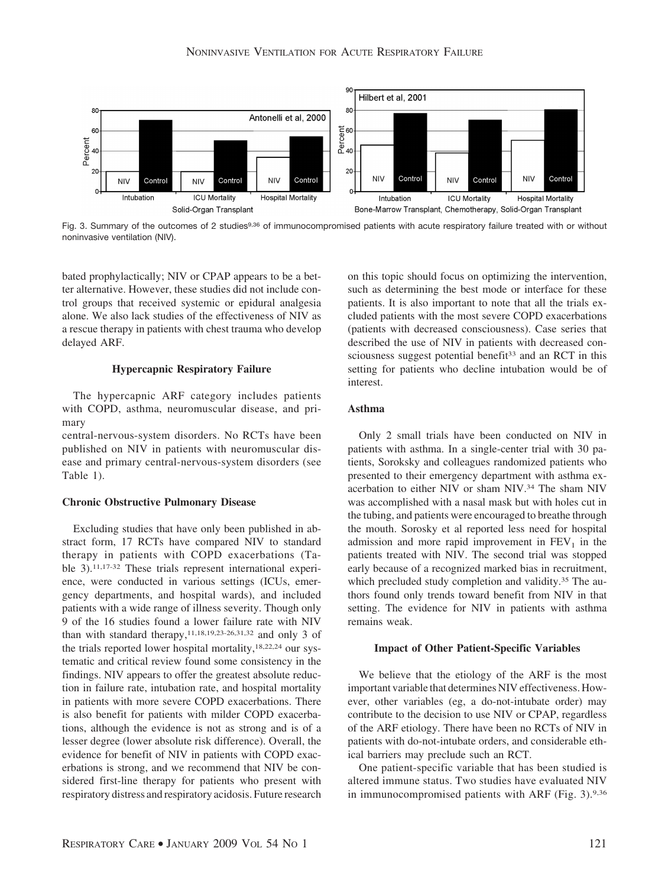

Fig. 3. Summary of the outcomes of 2 studies<sup>9,36</sup> of immunocompromised patients with acute respiratory failure treated with or without noninvasive ventilation (NIV).

bated prophylactically; NIV or CPAP appears to be a better alternative. However, these studies did not include control groups that received systemic or epidural analgesia alone. We also lack studies of the effectiveness of NIV as a rescue therapy in patients with chest trauma who develop delayed ARF.

## **Hypercapnic Respiratory Failure**

The hypercapnic ARF category includes patients with COPD, asthma, neuromuscular disease, and primary

central-nervous-system disorders. No RCTs have been published on NIV in patients with neuromuscular disease and primary central-nervous-system disorders (see Table 1).

#### **Chronic Obstructive Pulmonary Disease**

Excluding studies that have only been published in abstract form, 17 RCTs have compared NIV to standard therapy in patients with COPD exacerbations (Table 3).11,17-32 These trials represent international experience, were conducted in various settings (ICUs, emergency departments, and hospital wards), and included patients with a wide range of illness severity. Though only 9 of the 16 studies found a lower failure rate with NIV than with standard therapy,  $11,18,19,23-26,31,32$  and only 3 of the trials reported lower hospital mortality,<sup>18,22,24</sup> our systematic and critical review found some consistency in the findings. NIV appears to offer the greatest absolute reduction in failure rate, intubation rate, and hospital mortality in patients with more severe COPD exacerbations. There is also benefit for patients with milder COPD exacerbations, although the evidence is not as strong and is of a lesser degree (lower absolute risk difference). Overall, the evidence for benefit of NIV in patients with COPD exacerbations is strong, and we recommend that NIV be considered first-line therapy for patients who present with respiratory distress and respiratory acidosis. Future research on this topic should focus on optimizing the intervention, such as determining the best mode or interface for these patients. It is also important to note that all the trials excluded patients with the most severe COPD exacerbations (patients with decreased consciousness). Case series that described the use of NIV in patients with decreased consciousness suggest potential benefit<sup>33</sup> and an RCT in this setting for patients who decline intubation would be of interest.

# **Asthma**

Only 2 small trials have been conducted on NIV in patients with asthma. In a single-center trial with 30 patients, Soroksky and colleagues randomized patients who presented to their emergency department with asthma exacerbation to either NIV or sham NIV.34 The sham NIV was accomplished with a nasal mask but with holes cut in the tubing, and patients were encouraged to breathe through the mouth. Sorosky et al reported less need for hospital admission and more rapid improvement in  $FEV<sub>1</sub>$  in the patients treated with NIV. The second trial was stopped early because of a recognized marked bias in recruitment, which precluded study completion and validity.<sup>35</sup> The authors found only trends toward benefit from NIV in that setting. The evidence for NIV in patients with asthma remains weak.

#### **Impact of Other Patient-Specific Variables**

We believe that the etiology of the ARF is the most important variable that determines NIV effectiveness. However, other variables (eg, a do-not-intubate order) may contribute to the decision to use NIV or CPAP, regardless of the ARF etiology. There have been no RCTs of NIV in patients with do-not-intubate orders, and considerable ethical barriers may preclude such an RCT.

One patient-specific variable that has been studied is altered immune status. Two studies have evaluated NIV in immunocompromised patients with ARF (Fig. 3).9,36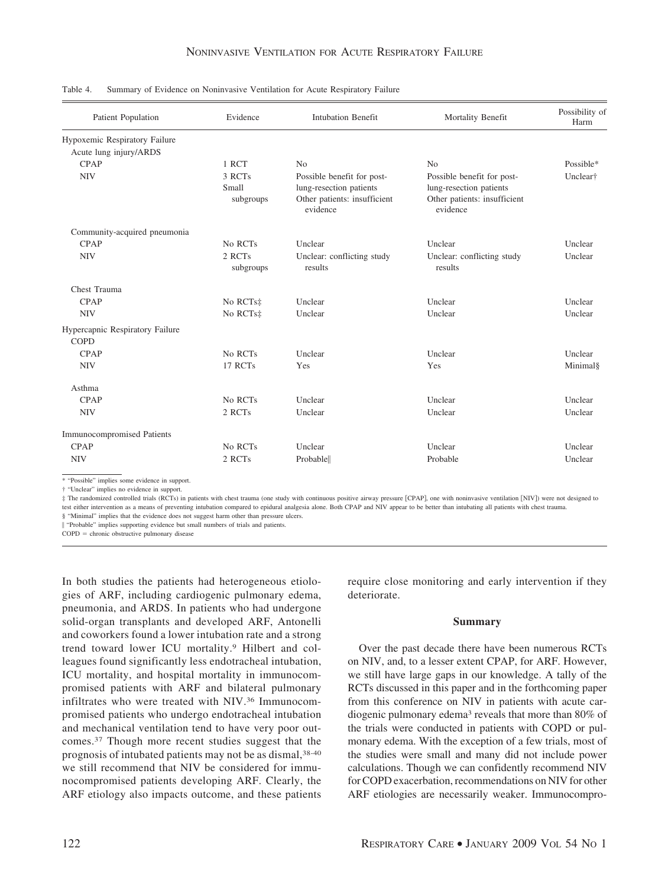| Patient Population                | Evidence             | <b>Intubation Benefit</b>                             | Mortality Benefit                                     | Possibility of<br>Harm |  |
|-----------------------------------|----------------------|-------------------------------------------------------|-------------------------------------------------------|------------------------|--|
| Hypoxemic Respiratory Failure     |                      |                                                       |                                                       |                        |  |
| Acute lung injury/ARDS            |                      |                                                       |                                                       |                        |  |
| CPAP                              | 1 RCT                | No                                                    | No                                                    | Possible*              |  |
| <b>NIV</b>                        | 3 RCTs<br>Small      | Possible benefit for post-<br>lung-resection patients | Possible benefit for post-<br>lung-resection patients | Unclear <sup>†</sup>   |  |
|                                   | subgroups            | Other patients: insufficient<br>evidence              | Other patients: insufficient<br>evidence              |                        |  |
| Community-acquired pneumonia      |                      |                                                       |                                                       |                        |  |
| <b>CPAP</b>                       | No RCTs              | Unclear                                               | Unclear                                               | Unclear                |  |
| <b>NIV</b>                        | 2 RCTs<br>subgroups  | Unclear: conflicting study<br>results                 | Unclear: conflicting study<br>results                 | Unclear                |  |
| Chest Trauma                      |                      |                                                       |                                                       |                        |  |
| <b>CPAP</b>                       | No RCTs <sup>#</sup> | Unclear                                               | Unclear                                               | Unclear                |  |
| <b>NIV</b>                        | No RCTs‡             | Unclear                                               | Unclear                                               | Unclear                |  |
| Hypercapnic Respiratory Failure   |                      |                                                       |                                                       |                        |  |
| <b>COPD</b>                       |                      |                                                       |                                                       |                        |  |
| <b>CPAP</b>                       | No RCTs              | Unclear                                               | Unclear                                               | Unclear                |  |
| <b>NIV</b>                        | 17 RCTs              | Yes                                                   | Yes                                                   | Minimal§               |  |
| Asthma                            |                      |                                                       |                                                       |                        |  |
| CPAP                              | No RCTs              | Unclear                                               | Unclear                                               | Unclear                |  |
| <b>NIV</b>                        | 2 RCTs               | Unclear                                               | Unclear                                               | Unclear                |  |
| <b>Immunocompromised Patients</b> |                      |                                                       |                                                       |                        |  |
| <b>CPAP</b>                       | No RCTs              | Unclear                                               | Unclear                                               | Unclear                |  |
| <b>NIV</b>                        | 2 RCTs               | Probable                                              | Probable                                              | Unclear                |  |

Table 4. Summary of Evidence on Noninvasive Ventilation for Acute Respiratory Failure

\* "Possible" implies some evidence in support.

† "Unclear" implies no evidence in support.

‡ The randomized controlled trials (RCTs) in patients with chest trauma (one study with continuous positive airway pressure CPAP, one with noninvasive ventilation NIV) were not designed to test either intervention as a means of preventing intubation compared to epidural analgesia alone. Both CPAP and NIV appear to be better than intubating all patients with chest trauma.

§ "Minimal" implies that the evidence does not suggest harm other than pressure ulcers.

"Probable" implies supporting evidence but small numbers of trials and patients.

 $COPD =$  chronic obstructive pulmonary disease

In both studies the patients had heterogeneous etiologies of ARF, including cardiogenic pulmonary edema, pneumonia, and ARDS. In patients who had undergone solid-organ transplants and developed ARF, Antonelli and coworkers found a lower intubation rate and a strong trend toward lower ICU mortality.9 Hilbert and colleagues found significantly less endotracheal intubation, ICU mortality, and hospital mortality in immunocompromised patients with ARF and bilateral pulmonary infiltrates who were treated with NIV.36 Immunocompromised patients who undergo endotracheal intubation and mechanical ventilation tend to have very poor outcomes.37 Though more recent studies suggest that the prognosis of intubated patients may not be as dismal, 38-40 we still recommend that NIV be considered for immunocompromised patients developing ARF. Clearly, the ARF etiology also impacts outcome, and these patients require close monitoring and early intervention if they deteriorate.

## **Summary**

Over the past decade there have been numerous RCTs on NIV, and, to a lesser extent CPAP, for ARF. However, we still have large gaps in our knowledge. A tally of the RCTs discussed in this paper and in the forthcoming paper from this conference on NIV in patients with acute cardiogenic pulmonary edema3 reveals that more than 80% of the trials were conducted in patients with COPD or pulmonary edema. With the exception of a few trials, most of the studies were small and many did not include power calculations. Though we can confidently recommend NIV for COPD exacerbation, recommendations on NIV for other ARF etiologies are necessarily weaker. Immunocompro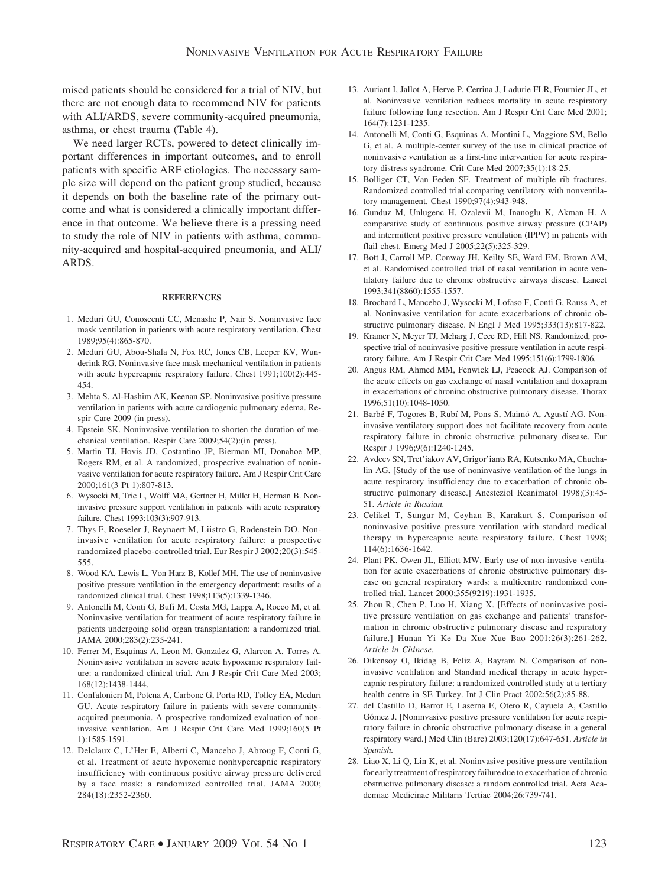mised patients should be considered for a trial of NIV, but there are not enough data to recommend NIV for patients with ALI/ARDS, severe community-acquired pneumonia, asthma, or chest trauma (Table 4).

We need larger RCTs, powered to detect clinically important differences in important outcomes, and to enroll patients with specific ARF etiologies. The necessary sample size will depend on the patient group studied, because it depends on both the baseline rate of the primary outcome and what is considered a clinically important difference in that outcome. We believe there is a pressing need to study the role of NIV in patients with asthma, community-acquired and hospital-acquired pneumonia, and ALI/ ARDS.

#### **REFERENCES**

- 1. Meduri GU, Conoscenti CC, Menashe P, Nair S. Noninvasive face mask ventilation in patients with acute respiratory ventilation. Chest 1989;95(4):865-870.
- 2. Meduri GU, Abou-Shala N, Fox RC, Jones CB, Leeper KV, Wunderink RG. Noninvasive face mask mechanical ventilation in patients with acute hypercapnic respiratory failure. Chest 1991;100(2):445- 454.
- 3. Mehta S, Al-Hashim AK, Keenan SP. Noninvasive positive pressure ventilation in patients with acute cardiogenic pulmonary edema. Respir Care 2009 (in press).
- 4. Epstein SK. Noninvasive ventilation to shorten the duration of mechanical ventilation. Respir Care 2009;54(2):(in press).
- 5. Martin TJ, Hovis JD, Costantino JP, Bierman MI, Donahoe MP, Rogers RM, et al. A randomized, prospective evaluation of noninvasive ventilation for acute respiratory failure. Am J Respir Crit Care 2000;161(3 Pt 1):807-813.
- 6. Wysocki M, Tric L, Wolff MA, Gertner H, Millet H, Herman B. Noninvasive pressure support ventilation in patients with acute respiratory failure. Chest 1993;103(3):907-913.
- 7. Thys F, Roeseler J, Reynaert M, Liistro G, Rodenstein DO. Noninvasive ventilation for acute respiratory failure: a prospective randomized placebo-controlled trial. Eur Respir J 2002;20(3):545- 555.
- 8. Wood KA, Lewis L, Von Harz B, Kollef MH. The use of noninvasive positive pressure ventilation in the emergency department: results of a randomized clinical trial. Chest 1998;113(5):1339-1346.
- 9. Antonelli M, Conti G, Bufi M, Costa MG, Lappa A, Rocco M, et al. Noninvasive ventilation for treatment of acute respiratory failure in patients undergoing solid organ transplantation: a randomized trial. JAMA 2000;283(2):235-241.
- 10. Ferrer M, Esquinas A, Leon M, Gonzalez G, Alarcon A, Torres A. Noninvasive ventilation in severe acute hypoxemic respiratory failure: a randomized clinical trial. Am J Respir Crit Care Med 2003; 168(12):1438-1444.
- 11. Confalonieri M, Potena A, Carbone G, Porta RD, Tolley EA, Meduri GU. Acute respiratory failure in patients with severe communityacquired pneumonia. A prospective randomized evaluation of noninvasive ventilation. Am J Respir Crit Care Med 1999;160(5 Pt 1):1585-1591.
- 12. Delclaux C, L'Her E, Alberti C, Mancebo J, Abroug F, Conti G, et al. Treatment of acute hypoxemic nonhypercapnic respiratory insufficiency with continuous positive airway pressure delivered by a face mask: a randomized controlled trial. JAMA 2000; 284(18):2352-2360.
- 13. Auriant I, Jallot A, Herve P, Cerrina J, Ladurie FLR, Fournier JL, et al. Noninvasive ventilation reduces mortality in acute respiratory failure following lung resection. Am J Respir Crit Care Med 2001; 164(7):1231-1235.
- 14. Antonelli M, Conti G, Esquinas A, Montini L, Maggiore SM, Bello G, et al. A multiple-center survey of the use in clinical practice of noninvasive ventilation as a first-line intervention for acute respiratory distress syndrome. Crit Care Med 2007;35(1):18-25.
- 15. Bolliger CT, Van Eeden SF. Treatment of multiple rib fractures. Randomized controlled trial comparing ventilatory with nonventilatory management. Chest 1990;97(4):943-948.
- 16. Gunduz M, Unlugenc H, Ozalevii M, Inanoglu K, Akman H. A comparative study of continuous positive airway pressure (CPAP) and intermittent positive pressure ventilation (IPPV) in patients with flail chest. Emerg Med J 2005;22(5):325-329.
- 17. Bott J, Carroll MP, Conway JH, Keilty SE, Ward EM, Brown AM, et al. Randomised controlled trial of nasal ventilation in acute ventilatory failure due to chronic obstructive airways disease. Lancet 1993;341(8860):1555-1557.
- 18. Brochard L, Mancebo J, Wysocki M, Lofaso F, Conti G, Rauss A, et al. Noninvasive ventilation for acute exacerbations of chronic obstructive pulmonary disease. N Engl J Med 1995;333(13):817-822.
- 19. Kramer N, Meyer TJ, Meharg J, Cece RD, Hill NS. Randomized, prospective trial of noninvasive positive pressure ventilation in acute respiratory failure. Am J Respir Crit Care Med 1995;151(6):1799-1806.
- 20. Angus RM, Ahmed MM, Fenwick LJ, Peacock AJ. Comparison of the acute effects on gas exchange of nasal ventilation and doxapram in exacerbations of chroninc obstructive pulmonary disease. Thorax 1996;51(10):1048-1050.
- 21. Barbé F, Togores B, Rubí M, Pons S, Maimó A, Agustí AG. Noninvasive ventilatory support does not facilitate recovery from acute respiratory failure in chronic obstructive pulmonary disease. Eur Respir J 1996;9(6):1240-1245.
- 22. Avdeev SN, Tret'iakov AV, Grigor'iants RA, Kutsenko MA, Chuchalin AG. [Study of the use of noninvasive ventilation of the lungs in acute respiratory insufficiency due to exacerbation of chronic obstructive pulmonary disease.] Anesteziol Reanimatol 1998;(3):45- 51. *Article in Russian.*
- 23. Celikel T, Sungur M, Ceyhan B, Karakurt S. Comparison of noninvasive positive pressure ventilation with standard medical therapy in hypercapnic acute respiratory failure. Chest 1998; 114(6):1636-1642.
- 24. Plant PK, Owen JL, Elliott MW. Early use of non-invasive ventilation for acute exacerbations of chronic obstructive pulmonary disease on general respiratory wards: a multicentre randomized controlled trial. Lancet 2000;355(9219):1931-1935.
- 25. Zhou R, Chen P, Luo H, Xiang X. [Effects of noninvasive positive pressure ventilation on gas exchange and patients' transformation in chronic obstructive pulmonary disease and respiratory failure.] Hunan Yi Ke Da Xue Xue Bao 2001;26(3):261-262. *Article in Chinese.*
- 26. Dikensoy O, Ikidag B, Feliz A, Bayram N. Comparison of noninvasive ventilation and Standard medical therapy in acute hypercapnic respiratory failure: a randomized controlled study at a tertiary health centre in SE Turkey. Int J Clin Pract 2002;56(2):85-88.
- 27. del Castillo D, Barrot E, Laserna E, Otero R, Cayuela A, Castillo Gómez J. [Noninvasive positive pressure ventilation for acute respiratory failure in chronic obstructive pulmonary disease in a general respiratory ward.] Med Clin (Barc) 2003;120(17):647-651. *Article in Spanish.*
- 28. Liao X, Li Q, Lin K, et al. Noninvasive positive pressure ventilation for early treatment of respiratory failure due to exacerbation of chronic obstructive pulmonary disease: a random controlled trial. Acta Academiae Medicinae Militaris Tertiae 2004;26:739-741.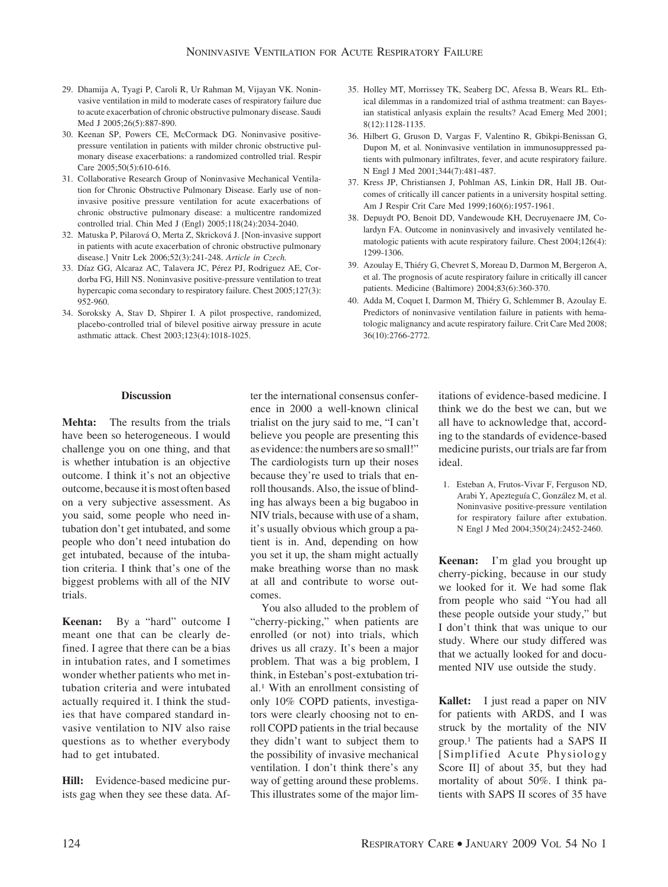- 29. Dhamija A, Tyagi P, Caroli R, Ur Rahman M, Vijayan VK. Noninvasive ventilation in mild to moderate cases of respiratory failure due to acute exacerbation of chronic obstructive pulmonary disease. Saudi Med J 2005;26(5):887-890.
- 30. Keenan SP, Powers CE, McCormack DG. Noninvasive positivepressure ventilation in patients with milder chronic obstructive pulmonary disease exacerbations: a randomized controlled trial. Respir Care 2005;50(5):610-616.
- 31. Collaborative Research Group of Noninvasive Mechanical Ventilation for Chronic Obstructive Pulmonary Disease. Early use of noninvasive positive pressure ventilation for acute exacerbations of chronic obstructive pulmonary disease: a multicentre randomized controlled trial. Chin Med J (Engl) 2005;118(24):2034-2040.
- 32. Matuska P, Pilarová O, Merta Z, Skricková J. [Non-invasive support in patients with acute exacerbation of chronic obstructive pulmonary disease.] Vnitr Lek 2006;52(3):241-248. *Article in Czech.*
- 33. Díaz GG, Alcaraz AC, Talavera JC, Pérez PJ, Rodriguez AE, Cordorba FG, Hill NS. Noninvasive positive-pressure ventilation to treat hypercapic coma secondary to respiratory failure. Chest 2005;127(3): 952-960.
- 34. Soroksky A, Stav D, Shpirer I. A pilot prospective, randomized, placebo-controlled trial of bilevel positive airway pressure in acute asthmatic attack. Chest 2003;123(4):1018-1025.
- 35. Holley MT, Morrissey TK, Seaberg DC, Afessa B, Wears RL. Ethical dilemmas in a randomized trial of asthma treatment: can Bayesian statistical anlyasis explain the results? Acad Emerg Med 2001; 8(12):1128-1135.
- 36. Hilbert G, Gruson D, Vargas F, Valentino R, Gbikpi-Benissan G, Dupon M, et al. Noninvasive ventilation in immunosuppressed patients with pulmonary infiltrates, fever, and acute respiratory failure. N Engl J Med 2001;344(7):481-487.
- 37. Kress JP, Christiansen J, Pohlman AS, Linkin DR, Hall JB. Outcomes of critically ill cancer patients in a university hospital setting. Am J Respir Crit Care Med 1999;160(6):1957-1961.
- 38. Depuydt PO, Benoit DD, Vandewoude KH, Decruyenaere JM, Colardyn FA. Outcome in noninvasively and invasively ventilated hematologic patients with acute respiratory failure. Chest 2004;126(4): 1299-1306.
- 39. Azoulay E, Thiéry G, Chevret S, Moreau D, Darmon M, Bergeron A, et al. The prognosis of acute respiratory failure in critically ill cancer patients. Medicine (Baltimore) 2004;83(6):360-370.
- 40. Adda M, Coquet I, Darmon M, Thiéry G, Schlemmer B, Azoulay E. Predictors of noninvasive ventilation failure in patients with hematologic malignancy and acute respiratory failure. Crit Care Med 2008; 36(10):2766-2772.

### **Discussion**

**Mehta:** The results from the trials have been so heterogeneous. I would challenge you on one thing, and that is whether intubation is an objective outcome. I think it's not an objective outcome, because it is most often based on a very subjective assessment. As you said, some people who need intubation don't get intubated, and some people who don't need intubation do get intubated, because of the intubation criteria. I think that's one of the biggest problems with all of the NIV trials.

**Keenan:** By a "hard" outcome I meant one that can be clearly defined. I agree that there can be a bias in intubation rates, and I sometimes wonder whether patients who met intubation criteria and were intubated actually required it. I think the studies that have compared standard invasive ventilation to NIV also raise questions as to whether everybody had to get intubated.

**Hill:** Evidence-based medicine purists gag when they see these data. After the international consensus conference in 2000 a well-known clinical trialist on the jury said to me, "I can't believe you people are presenting this as evidence: the numbers are so small!" The cardiologists turn up their noses because they're used to trials that enroll thousands. Also, the issue of blinding has always been a big bugaboo in NIV trials, because with use of a sham, it's usually obvious which group a patient is in. And, depending on how you set it up, the sham might actually make breathing worse than no mask at all and contribute to worse outcomes.

You also alluded to the problem of "cherry-picking," when patients are enrolled (or not) into trials, which drives us all crazy. It's been a major problem. That was a big problem, I think, in Esteban's post-extubation trial.1 With an enrollment consisting of only 10% COPD patients, investigators were clearly choosing not to enroll COPD patients in the trial because they didn't want to subject them to the possibility of invasive mechanical ventilation. I don't think there's any way of getting around these problems. This illustrates some of the major limitations of evidence-based medicine. I think we do the best we can, but we all have to acknowledge that, according to the standards of evidence-based medicine purists, our trials are far from ideal.

1. Esteban A, Frutos-Vivar F, Ferguson ND, Arabi Y, Apezteguía C, González M, et al. Noninvasive positive-pressure ventilation for respiratory failure after extubation. N Engl J Med 2004;350(24):2452-2460.

**Keenan:** I'm glad you brought up cherry-picking, because in our study we looked for it. We had some flak from people who said "You had all these people outside your study," but I don't think that was unique to our study. Where our study differed was that we actually looked for and documented NIV use outside the study.

**Kallet:** I just read a paper on NIV for patients with ARDS, and I was struck by the mortality of the NIV group.1 The patients had a SAPS II [Simplified Acute Physiology Score II] of about 35, but they had mortality of about 50%. I think patients with SAPS II scores of 35 have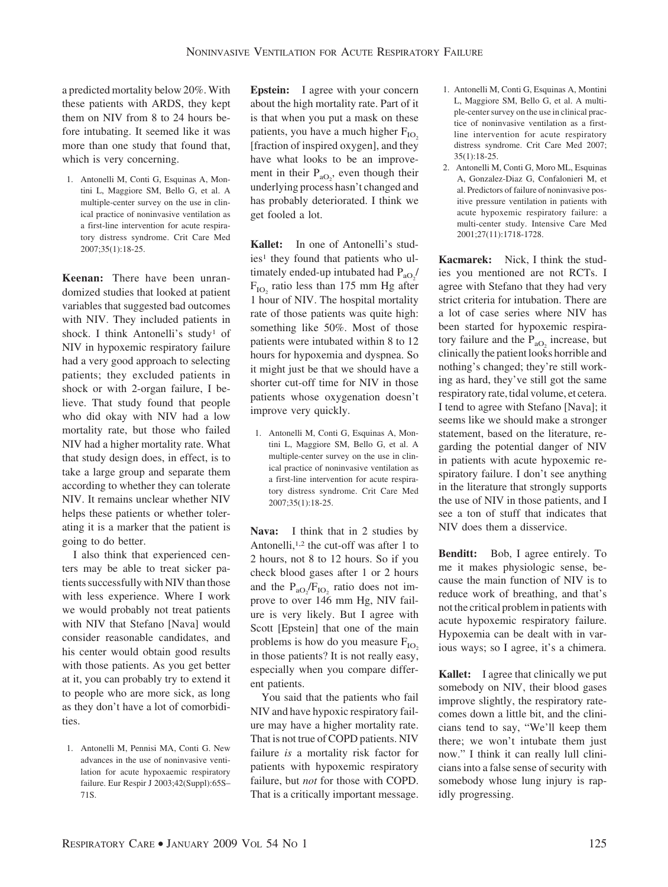a predicted mortality below 20%. With these patients with ARDS, they kept them on NIV from 8 to 24 hours before intubating. It seemed like it was more than one study that found that, which is very concerning.

1. Antonelli M, Conti G, Esquinas A, Montini L, Maggiore SM, Bello G, et al. A multiple-center survey on the use in clinical practice of noninvasive ventilation as a first-line intervention for acute respiratory distress syndrome. Crit Care Med 2007;35(1):18-25.

**Keenan:** There have been unrandomized studies that looked at patient variables that suggested bad outcomes with NIV. They included patients in shock. I think Antonelli's study<sup>1</sup> of NIV in hypoxemic respiratory failure had a very good approach to selecting patients; they excluded patients in shock or with 2-organ failure, I believe. That study found that people who did okay with NIV had a low mortality rate, but those who failed NIV had a higher mortality rate. What that study design does, in effect, is to take a large group and separate them according to whether they can tolerate NIV. It remains unclear whether NIV helps these patients or whether tolerating it is a marker that the patient is going to do better.

I also think that experienced centers may be able to treat sicker patients successfully with NIV than those with less experience. Where I work we would probably not treat patients with NIV that Stefano [Nava] would consider reasonable candidates, and his center would obtain good results with those patients. As you get better at it, you can probably try to extend it to people who are more sick, as long as they don't have a lot of comorbidities.

1. Antonelli M, Pennisi MA, Conti G. New advances in the use of noninvasive ventilation for acute hypoxaemic respiratory failure. Eur Respir J 2003;42(Suppl):65S– 71S.

**Epstein:** I agree with your concern about the high mortality rate. Part of it is that when you put a mask on these patients, you have a much higher  $F_{IO}$ [fraction of inspired oxygen], and they have what looks to be an improvement in their  $P_{aO_2}$ , even though their underlying process hasn't changed and has probably deteriorated. I think we get fooled a lot.

**Kallet:** In one of Antonelli's studies<sup>1</sup> they found that patients who ultimately ended-up intubated had  $P_{aO_2}$ /  $F_{IO}$ , ratio less than 175 mm Hg after 1 hour of NIV. The hospital mortality rate of those patients was quite high: something like 50%. Most of those patients were intubated within 8 to 12 hours for hypoxemia and dyspnea. So it might just be that we should have a shorter cut-off time for NIV in those patients whose oxygenation doesn't improve very quickly.

1. Antonelli M, Conti G, Esquinas A, Montini L, Maggiore SM, Bello G, et al. A multiple-center survey on the use in clinical practice of noninvasive ventilation as a first-line intervention for acute respiratory distress syndrome. Crit Care Med 2007;35(1):18-25.

**Nava:** I think that in 2 studies by Antonelli,<sup>1,2</sup> the cut-off was after 1 to 2 hours, not 8 to 12 hours. So if you check blood gases after 1 or 2 hours and the  $P_{aO_2}/F_{IO_2}$  ratio does not improve to over 146 mm Hg, NIV failure is very likely. But I agree with Scott [Epstein] that one of the main problems is how do you measure  $F_{IO}$ in those patients? It is not really easy, especially when you compare different patients.

You said that the patients who fail NIV and have hypoxic respiratory failure may have a higher mortality rate. That is not true of COPD patients. NIV failure *is* a mortality risk factor for patients with hypoxemic respiratory failure, but *not* for those with COPD. That is a critically important message.

- 1. Antonelli M, Conti G, Esquinas A, Montini L, Maggiore SM, Bello G, et al. A multiple-center survey on the use in clinical practice of noninvasive ventilation as a firstline intervention for acute respiratory distress syndrome. Crit Care Med 2007; 35(1):18-25.
- 2. Antonelli M, Conti G, Moro ML, Esquinas A, Gonzalez-Diaz G, Confalonieri M, et al. Predictors of failure of noninvasive positive pressure ventilation in patients with acute hypoxemic respiratory failure: a multi-center study. Intensive Care Med 2001;27(11):1718-1728.

**Kacmarek:** Nick, I think the studies you mentioned are not RCTs. I agree with Stefano that they had very strict criteria for intubation. There are a lot of case series where NIV has been started for hypoxemic respiratory failure and the  $P_{aO_2}$  increase, but clinically the patient looks horrible and nothing's changed; they're still working as hard, they've still got the same respiratory rate, tidal volume, et cetera. I tend to agree with Stefano [Nava]; it seems like we should make a stronger statement, based on the literature, regarding the potential danger of NIV in patients with acute hypoxemic respiratory failure. I don't see anything in the literature that strongly supports the use of NIV in those patients, and I see a ton of stuff that indicates that NIV does them a disservice.

**Benditt:** Bob, I agree entirely. To me it makes physiologic sense, because the main function of NIV is to reduce work of breathing, and that's not the critical problem in patients with acute hypoxemic respiratory failure. Hypoxemia can be dealt with in various ways; so I agree, it's a chimera.

**Kallet:** I agree that clinically we put somebody on NIV, their blood gases improve slightly, the respiratory ratecomes down a little bit, and the clinicians tend to say, "We'll keep them there; we won't intubate them just now." I think it can really lull clinicians into a false sense of security with somebody whose lung injury is rapidly progressing.